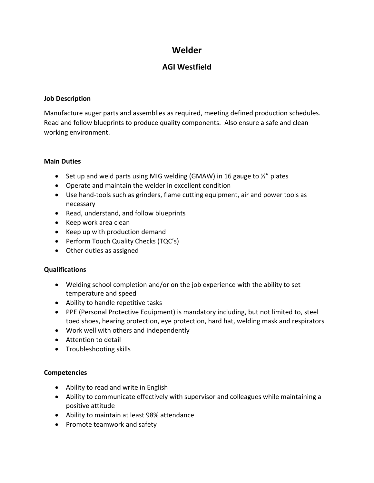# **Welder**

# **AGI Westfield**

#### **Job Description**

Manufacture auger parts and assemblies as required, meeting defined production schedules. Read and follow blueprints to produce quality components. Also ensure a safe and clean working environment.

#### **Main Duties**

- Set up and weld parts using MIG welding (GMAW) in 16 gauge to  $\frac{1}{2}$ " plates
- Operate and maintain the welder in excellent condition
- Use hand-tools such as grinders, flame cutting equipment, air and power tools as necessary
- Read, understand, and follow blueprints
- Keep work area clean
- Keep up with production demand
- Perform Touch Quality Checks (TQC's)
- Other duties as assigned

## **Qualifications**

- Welding school completion and/or on the job experience with the ability to set temperature and speed
- Ability to handle repetitive tasks
- PPE (Personal Protective Equipment) is mandatory including, but not limited to, steel toed shoes, hearing protection, eye protection, hard hat, welding mask and respirators
- Work well with others and independently
- Attention to detail
- Troubleshooting skills

## **Competencies**

- Ability to read and write in English
- Ability to communicate effectively with supervisor and colleagues while maintaining a positive attitude
- Ability to maintain at least 98% attendance
- Promote teamwork and safety